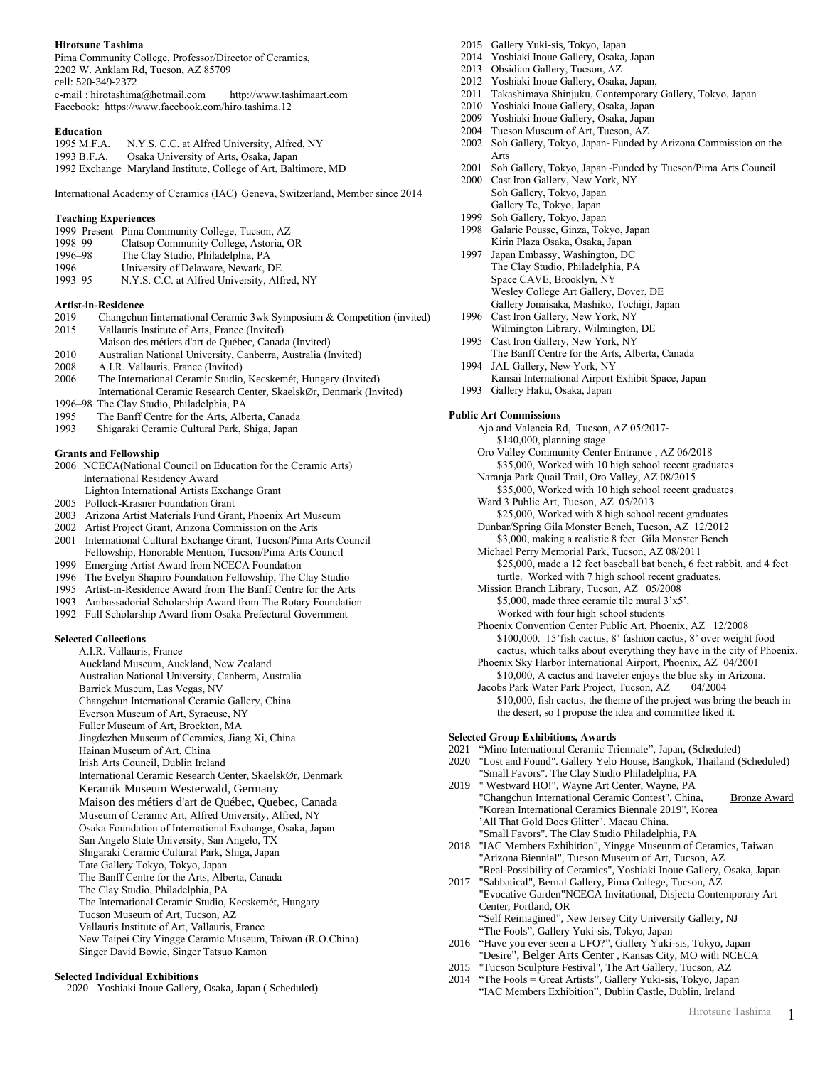# **Hirotsune Tashima**

Pima Community College, Professor/Director of Ceramics, 2202 W. Anklam Rd, Tucson, AZ 85709 cell: 520-349-2372 e-mail : hirotashima@hotmail.com http://www.tashimaart.com Facebook: https://www.facebook.com/hiro.tashima.12

### **Education**

| 1995 M.F.A. | N.Y.S. C.C. at Alfred University, Alfred, NY                    |
|-------------|-----------------------------------------------------------------|
| 1993 B.F.A. | Osaka University of Arts, Osaka, Japan                          |
|             | 1992 Exchange Maryland Institute, College of Art, Baltimore, MD |

International Academy of Ceramics (IAC) Geneva, Switzerland, Member since 2014

### **Teaching Experiences**

|         | 1999–Present Pima Community College, Tucson, AZ |
|---------|-------------------------------------------------|
| 1998-99 | Clatsop Community College, Astoria, OR          |
| 1996-98 | The Clay Studio, Philadelphia, PA               |
| 1996    | University of Delaware, Newark, DE              |
| 1993-95 | N.Y.S. C.C. at Alfred University, Alfred, NY    |

#### **Artist-in-Residence**

- 2019 Changchun Iinternational Ceramic 3wk Symposium & Competition (invited) 2015 Vallauris Institute of Arts, France (Invited)
- Maison des métiers d'art de Québec, Canada (Invited)
- 2010 Australian National University, Canberra, Australia (Invited) A.I.R. Vallauris, France (Invited)
- 2006 The International Ceramic Studio, Kecskemét, Hungary (Invited)
- International Ceramic Research Center, SkaelskØr, Denmark (Invited) 1996–98 The Clay Studio, Philadelphia, PA
- 1995 The Banff Centre for the Arts, Alberta, Canada
- 1993 Shigaraki Ceramic Cultural Park, Shiga, Japan

#### **Grants and Fellowship**

- 2006 NCECA(National Council on Education for the Ceramic Arts) International Residency Award
- Lighton International Artists Exchange Grant
- 2005 Pollock-Krasner Foundation Grant
- 2003 Arizona Artist Materials Fund Grant, Phoenix Art Museum
- 2002 Artist Project Grant, Arizona Commission on the Arts
- 2001 International Cultural Exchange Grant, Tucson/Pima Arts Council Fellowship, Honorable Mention, Tucson/Pima Arts Council
- 1999 Emerging Artist Award from NCECA Foundation
- 1996 The Evelyn Shapiro Foundation Fellowship, The Clay Studio
- 1995 Artist-in-Residence Award from The Banff Centre for the Arts
- 1993 Ambassadorial Scholarship Award from The Rotary Foundation
- 1992 Full Scholarship Award from Osaka Prefectural Government

# **Selected Collections**

A.I.R. Vallauris, France Auckland Museum, Auckland, New Zealand Australian National University, Canberra, Australia Barrick Museum, Las Vegas, NV Changchun International Ceramic Gallery, China Everson Museum of Art, Syracuse, NY Fuller Museum of Art, Brockton, MA Jingdezhen Museum of Ceramics, Jiang Xi, China Hainan Museum of Art, China Irish Arts Council, Dublin Ireland International Ceramic Research Center, SkaelskØr, Denmark Keramik Museum Westerwald, Germany Maison des métiers d'art de Québec, Quebec, Canada Museum of Ceramic Art, Alfred University, Alfred, NY Osaka Foundation of International Exchange, Osaka, Japan San Angelo State University, San Angelo, TX Shigaraki Ceramic Cultural Park, Shiga, Japan Tate Gallery Tokyo, Tokyo, Japan The Banff Centre for the Arts, Alberta, Canada The Clay Studio, Philadelphia, PA The International Ceramic Studio, Kecskemét, Hungary Tucson Museum of Art, Tucson, AZ Vallauris Institute of Art, Vallauris, France New Taipei City Yingge Ceramic Museum, Taiwan (R.O.China)

Singer David Bowie, Singer Tatsuo Kamon

# **Selected Individual Exhibitions**

2020 Yoshiaki Inoue Gallery, Osaka, Japan ( Scheduled)

- 2015 Gallery Yuki-sis, Tokyo, Japan
- 2014 Yoshiaki Inoue Gallery, Osaka, Japan
- 2013 Obsidian Gallery, Tucson, AZ
- 2012 Yoshiaki Inoue Gallery, Osaka, Japan,
- 2011 Takashimaya Shinjuku, Contemporary Gallery, Tokyo, Japan
- 2010 Yoshiaki Inoue Gallery, Osaka, Japan
- 2009 Yoshiaki Inoue Gallery, Osaka, Japan
- 2004 Tucson Museum of Art, Tucson, AZ
- 2002 Soh Gallery, Tokyo, Japan~Funded by Arizona Commission on the Arts
- 2001 Soh Gallery, Tokyo, Japan~Funded by Tucson/Pima Arts Council
- 2000 Cast Iron Gallery, New York, NY Soh Gallery, Tokyo, Japan Gallery Te, Tokyo, Japan
- 1999 Soh Gallery, Tokyo, Japan
- 1998 Galarie Pousse, Ginza, Tokyo, Japan Kirin Plaza Osaka, Osaka, Japan
- 1997 Japan Embassy, Washington, DC The Clay Studio, Philadelphia, PA Space CAVE, Brooklyn, NY Wesley College Art Gallery, Dover, DE Gallery Jonaisaka, Mashiko, Tochigi, Japan
- 1996 Cast Iron Gallery, New York, NY Wilmington Library, Wilmington, DE
- 1995 Cast Iron Gallery, New York, NY
- The Banff Centre for the Arts, Alberta, Canada 1994 JAL Gallery, New York, NY
- Kansai International Airport Exhibit Space, Japan
- 1993 Gallery Haku, Osaka, Japan

### **Public Art Commissions**

- Ajo and Valencia Rd, Tucson, AZ 05/2017~ \$140,000, planning stage
- Oro Valley Community Center Entrance , AZ 06/2018 \$35,000, Worked with 10 high school recent graduates
- Naranja Park Quail Trail, Oro Valley, AZ 08/2015 \$35,000, Worked with 10 high school recent graduates Ward 3 Public Art, Tucson, AZ 05/2013
- \$25,000, Worked with 8 high school recent graduates Dunbar/Spring Gila Monster Bench, Tucson, AZ 12/2012
- \$3,000, making a realistic 8 feet Gila Monster Bench

Michael Perry Memorial Park, Tucson, AZ 08/2011 \$25,000, made a 12 feet baseball bat bench, 6 feet rabbit, and 4 feet turtle. Worked with 7 high school recent graduates.

Mission Branch Library, Tucson, AZ 05/2008 \$5,000, made three ceramic tile mural 3'x5'. Worked with four high school students

Phoenix Convention Center Public Art, Phoenix, AZ 12/2008 \$100,000. 15'fish cactus, 8' fashion cactus, 8' over weight food cactus, which talks about everything they have in the city of Phoenix.

Phoenix Sky Harbor International Airport, Phoenix, AZ 04/2001 \$10,000, A cactus and traveler enjoys the blue sky in Arizona. Jacobs Park Water Park Project, Tucson, AZ 04/2004

\$10,000, fish cactus, the theme of the project was bring the beach in the desert, so I propose the idea and committee liked it.

## **Selected Group Exhibitions, Awards**

- 2021 "Mino International Ceramic Triennale", Japan, (Scheduled)
- 2020 "Lost and Found". Gallery Yelo House, Bangkok, Thailand (Scheduled) "Small Favors". The Clay Studio Philadelphia, PA
- 2019 " Westward HO!", Wayne Art Center, Wayne, PA "Changchun International Ceramic Contest", China, Bronze Award "Korean International Ceramics Biennale 2019", Korea 'All That Gold Does Glitter". Macau China. "Small Favors". The Clay Studio Philadelphia, PA
- 2018 "IAC Members Exhibition", Yingge Museunm of Ceramics, Taiwan "Arizona Biennial", Tucson Museum of Art, Tucson, AZ "Real-Possibility of Ceramics", Yoshiaki Inoue Gallery, Osaka, Japan
- 2017 "Sabbatical", Bernal Gallery, Pima College, Tucson, AZ "Evocative Garden"NCECA Invitational, Disjecta Contemporary Art Center, Portland, OR "Self Reimagined", New Jersey City University Gallery, NJ "The Fools", Gallery Yuki-sis, Tokyo, Japan
- 2016 "Have you ever seen a UFO?", Gallery Yuki-sis, Tokyo, Japan "Desire", Belger Arts Center , Kansas City, MO with NCECA
- 2015 "Tucson Sculpture Festival", The Art Gallery, Tucson, AZ
- 2014 "The Fools = Great Artists", Gallery Yuki-sis, Tokyo, Japan "IAC Members Exhibition", Dublin Castle, Dublin, Ireland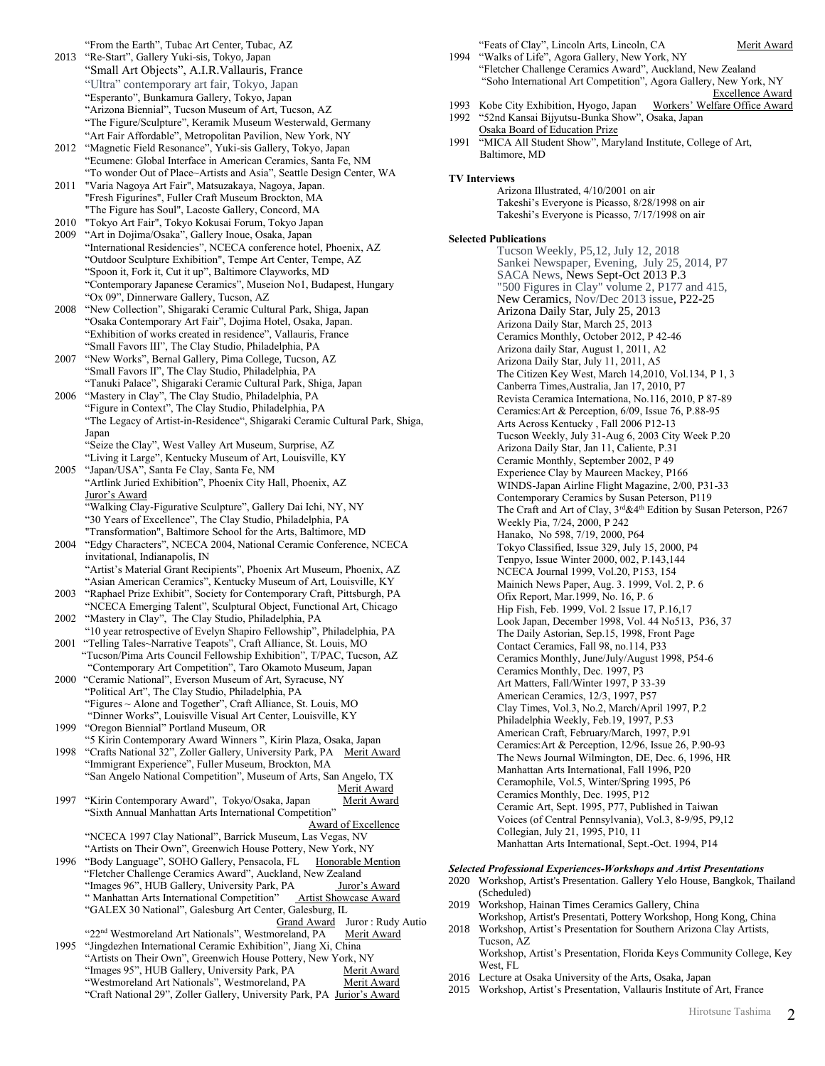"From the Earth", Tubac Art Center, Tubac, AZ

- 2013 "Re-Start", Gallery Yuki-sis, Tokyo, Japan "Small Art Objects", A.I.R.Vallauris, France "Ultra" contemporary art fair, Tokyo, Japan "Esperanto", Bunkamura Gallery, Tokyo, Japan "Arizona Biennial", Tucson Museum of Art, Tucson, AZ "The Figure/Sculpture", Keramik Museum Westerwald, Germany "Art Fair Affordable", Metropolitan Pavilion, New York, NY
- 2012 "Magnetic Field Resonance", Yuki-sis Gallery, Tokyo, Japan "Ecumene: Global Interface in American Ceramics, Santa Fe, NM "To wonder Out of Place~Artists and Asia", Seattle Design Center, WA
- 2011 "Varia Nagoya Art Fair", Matsuzakaya, Nagoya, Japan. "Fresh Figurines", Fuller Craft Museum Brockton, MA "The Figure has Soul", Lacoste Gallery, Concord, MA
- 2010 "Tokyo Art Fair", Tokyo Kokusai Forum, Tokyo Japan 2009 "Art in Dojima/Osaka", Gallery Inoue, Osaka, Japan
- "International Residencies", NCECA conference hotel, Phoenix, AZ "Outdoor Sculpture Exhibition", Tempe Art Center, Tempe, AZ "Spoon it, Fork it, Cut it up", Baltimore Clayworks, MD "Contemporary Japanese Ceramics", Museion No1, Budapest, Hungary "Ox 09", Dinnerware Gallery, Tucson, AZ
- 2008 "New Collection", Shigaraki Ceramic Cultural Park, Shiga, Japan "Osaka Contemporary Art Fair", Dojima Hotel, Osaka, Japan. "Exhibition of works created in residence", Vallauris, France "Small Favors III", The Clay Studio, Philadelphia, PA
- 2007 "New Works", Bernal Gallery, Pima College, Tucson, AZ "Small Favors II", The Clay Studio, Philadelphia, PA "Tanuki Palace", Shigaraki Ceramic Cultural Park, Shiga, Japan
- 2006 "Mastery in Clay", The Clay Studio, Philadelphia, PA "Figure in Context", The Clay Studio, Philadelphia, PA "The Legacy of Artist-in-Residence", Shigaraki Ceramic Cultural Park, Shiga, Japan "Seize the Clay", West Valley Art Museum, Surprise, AZ
- "Living it Large", Kentucky Museum of Art, Louisville, KY 2005 "Japan/USA", Santa Fe Clay, Santa Fe, NM
- "Artlink Juried Exhibition", Phoenix City Hall, Phoenix, AZ Juror's Award "Walking Clay-Figurative Sculpture", Gallery Dai Ichi, NY, NY
- "30 Years of Excellence", The Clay Studio, Philadelphia, PA "Transformation", Baltimore School for the Arts, Baltimore, MD 2004 "Edgy Characters", NCECA 2004, National Ceramic Conference, NCECA
- invitational, Indianapolis, IN "Artist's Material Grant Recipients", Phoenix Art Museum, Phoenix, AZ "Asian American Ceramics", Kentucky Museum of Art, Louisville, KY
- 2003 "Raphael Prize Exhibit", Society for Contemporary Craft, Pittsburgh, PA "NCECA Emerging Talent", Sculptural Object, Functional Art, Chicago
- 2002 "Mastery in Clay", The Clay Studio, Philadelphia, PA "10 year retrospective of Evelyn Shapiro Fellowship", Philadelphia, PA
- 2001 "Telling Tales~Narrative Teapots", Craft Alliance, St. Louis, MO "Tucson/Pima Arts Council Fellowship Exhibition", T/PAC, Tucson, AZ "Contemporary Art Competition", Taro Okamoto Museum, Japan
- 2000 "Ceramic National", Everson Museum of Art, Syracuse, NY "Political Art", The Clay Studio, Philadelphia, PA "Figures ~ Alone and Together", Craft Alliance, St. Louis, MO "Dinner Works", Louisville Visual Art Center, Louisville, KY
- 1999 "Oregon Biennial" Portland Museum, OR "5 Kirin Contemporary Award Winners ", Kirin Plaza, Osaka, Japan
- 1998 "Crafts National 32", Zoller Gallery, University Park, PA Merit Award "Immigrant Experience", Fuller Museum, Brockton, MA "San Angelo National Competition", Museum of Arts, San Angelo, TX Merit Award
- 1997 "Kirin Contemporary Award", Tokyo/Osaka, Japan Merit Award "Sixth Annual Manhattan Arts International Competition" Award of Excellence "NCECA 1997 Clay National", Barrick Museum, Las Vegas, NV
- "Artists on Their Own", Greenwich House Pottery, New York, NY 1996 "Body Language", SOHO Gallery, Pensacola, FL Honorable Mention "Fletcher Challenge Ceramics Award", Auckland, New Zealand "Images 96", HUB Gallery, University Park, PA Juror's Award " Manhattan Arts International Competition" Artist Showcase Award "GALEX 30 National", Galesburg Art Center, Galesburg, IL Grand Award Juror : Rudy Autio
- "22<sup>nd</sup> Westmoreland Art Nationals", Westmoreland, PA Merit Award 1995 "Jingdezhen International Ceramic Exhibition", Jiang Xi, China "Artists on Their Own", Greenwich House Pottery, New York, NY "Images 95", HUB Gallery, University Park, PA Merit Award "Westmoreland Art Nationals", Westmoreland, PA Merit Award "Craft National 29", Zoller Gallery, University Park, PA Jurior's Award

"Feats of Clay", Lincoln Arts, Lincoln, CA Merit Award

- 1994 "Walks of Life", Agora Gallery, New York, NY "Fletcher Challenge Ceramics Award", Auckland, New Zealand "Soho International Art Competition", Agora Gallery, New York, NY Excellence Award<br>Workers' Welfare Office Award
- 1993 Kobe City Exhibition, Hyogo, Japan 1992 "52nd Kansai Bijyutsu-Bunka Show", Osaka, Japan
- Osaka Board of Education Prize 1991 "MICA All Student Show", Maryland Institute, College of Art, Baltimore, MD

### **TV Interviews**

Arizona Illustrated, 4/10/2001 on air Takeshi's Everyone is Picasso, 8/28/1998 on air Takeshi's Everyone is Picasso, 7/17/1998 on air

**Selected Publications**

Tucson Weekly, P5,12, July 12, 2018 Sankei Newspaper, Evening, July 25, 2014, P7 SACA News, News Sept-Oct 2013 P.3 "500 Figures in Clay" volume 2, P177 and 415, New Ceramics, Nov/Dec 2013 issue, P22-25 Arizona Daily Star, July 25, 2013 Arizona Daily Star, March 25, 2013 Ceramics Monthly, October 2012, P 42-46 Arizona daily Star, August 1, 2011, A2 Arizona Daily Star, July 11, 2011, A5 The Citizen Key West, March 14,2010, Vol.134, P 1, 3 Canberra Times,Australia, Jan 17, 2010, P7 Revista Ceramica Internationa, No.116, 2010, P 87-89 Ceramics:Art & Perception, 6/09, Issue 76, P.88-95 Arts Across Kentucky , Fall 2006 P12-13 Tucson Weekly, July 31-Aug 6, 2003 City Week P.20 Arizona Daily Star, Jan 11, Caliente, P.31 Ceramic Monthly, September 2002, P 49 Experience Clay by Maureen Mackey, P166 WINDS-Japan Airline Flight Magazine, 2/00, P31-33 Contemporary Ceramics by Susan Peterson, P119 The Craft and Art of Clay,  $3^{rd}\&4^{th}$  Edition by Susan Peterson, P267 Weekly Pia, 7/24, 2000, P 242 Hanako, No 598, 7/19, 2000, P64 Tokyo Classified, Issue 329, July 15, 2000, P4 Tenpyo, Issue Winter 2000, 002, P.143,144 NCECA Journal 1999, Vol.20, P153, 154 Mainich News Paper, Aug. 3. 1999, Vol. 2, P. 6 Ofix Report, Mar.1999, No. 16, P. 6 Hip Fish, Feb. 1999, Vol. 2 Issue 17, P.16,17 Look Japan, December 1998, Vol. 44 No513, P36, 37 The Daily Astorian, Sep.15, 1998, Front Page Contact Ceramics, Fall 98, no.114, P33 Ceramics Monthly, June/July/August 1998, P54-6 Ceramics Monthly, Dec. 1997, P3 Art Matters, Fall/Winter 1997, P 33-39 American Ceramics, 12/3, 1997, P57 Clay Times, Vol.3, No.2, March/April 1997, P.2 Philadelphia Weekly, Feb.19, 1997, P.53 American Craft, February/March, 1997, P.91 Ceramics:Art & Perception, 12/96, Issue 26, P.90-93 The News Journal Wilmington, DE, Dec. 6, 1996, HR Manhattan Arts International, Fall 1996, P20 Ceramophile, Vol.5, Winter/Spring 1995, P6 Ceramics Monthly, Dec. 1995, P12 Ceramic Art, Sept. 1995, P77, Published in Taiwan Voices (of Central Pennsylvania), Vol.3, 8-9/95, P9,12 Collegian, July 21, 1995, P10, 11 Manhattan Arts International, Sept.-Oct. 1994, P14

## *Selected Professional Experiences-Workshops and Artist Presentations*

- 2020 Workshop, Artist's Presentation. Gallery Yelo House, Bangkok, Thailand (Scheduled)
- 2019 Workshop, Hainan Times Ceramics Gallery, China
- Workshop, Artist's Presentati, Pottery Workshop, Hong Kong, China 2018 Workshop, Artist's Presentation for Southern Arizona Clay Artists, Tucson, AZ
	- Workshop, Artist's Presentation, Florida Keys Community College, Key West, FL
- 2016 Lecture at Osaka University of the Arts, Osaka, Japan
- 2015 Workshop, Artist's Presentation, Vallauris Institute of Art, France